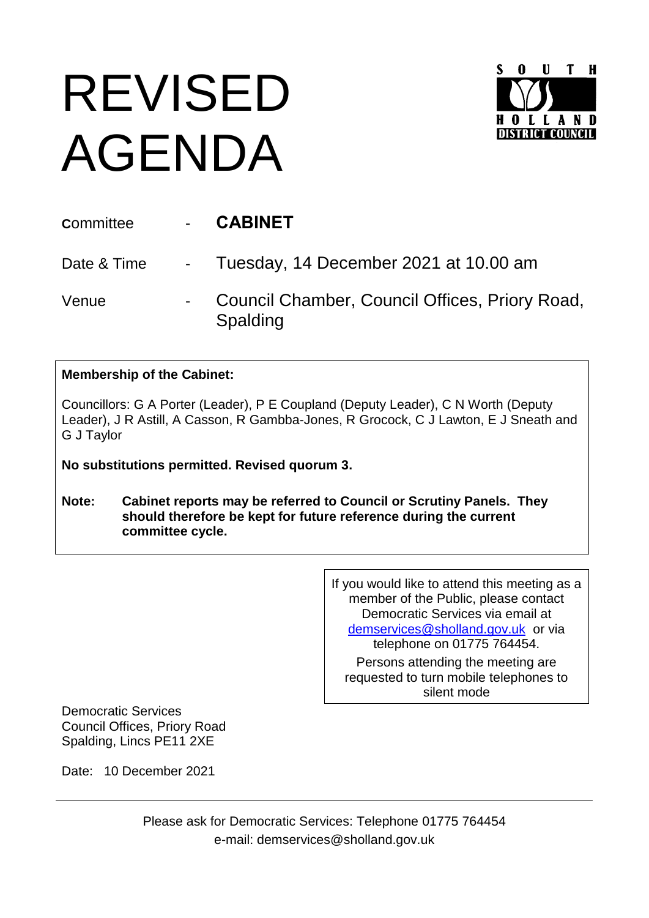## REVISED AGENDA



| <b>Committee</b> | <b>CABINET</b>                                             |
|------------------|------------------------------------------------------------|
|                  | Date & Time - Tuesday, 14 December 2021 at 10.00 am        |
| Venue            | Council Chamber, Council Offices, Priory Road,<br>Spalding |

## **Membership of the Cabinet:**

Councillors: G A Porter (Leader), P E Coupland (Deputy Leader), C N Worth (Deputy Leader), J R Astill, A Casson, R Gambba-Jones, R Grocock, C J Lawton, E J Sneath and G J Taylor

**No substitutions permitted. Revised quorum 3.**

**Note: Cabinet reports may be referred to Council or Scrutiny Panels. They should therefore be kept for future reference during the current committee cycle.** 

> If you would like to attend this meeting as a member of the Public, please contact Democratic Services via email at [demservices@sholland.gov.uk](mailto:demservices@sholland.gov.uk) or via telephone on 01775 764454.

Persons attending the meeting are requested to turn mobile telephones to silent mode

Democratic Services Council Offices, Priory Road Spalding, Lincs PE11 2XE

Date: 10 December 2021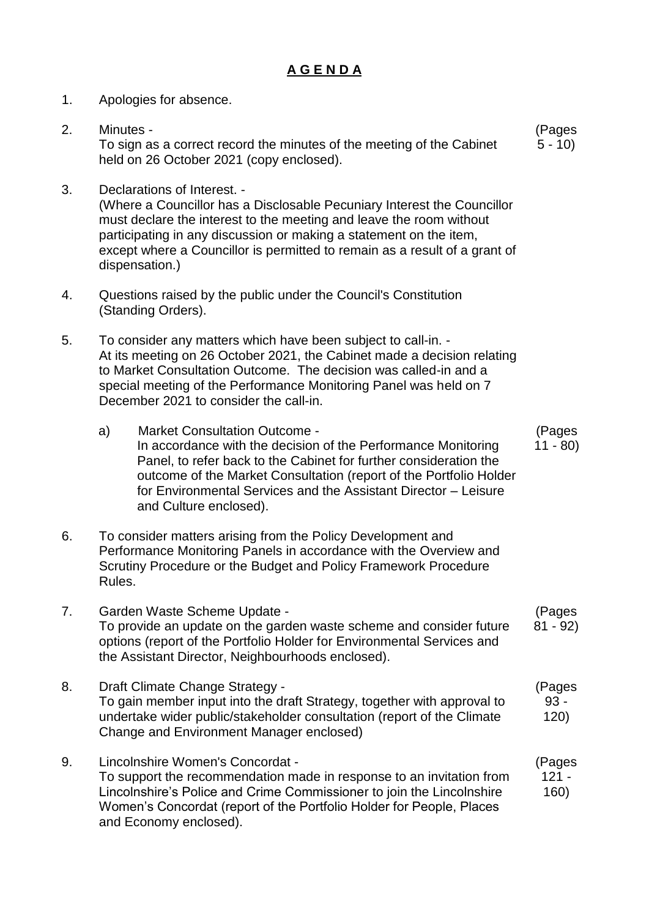## **A G E N D A**

1. Apologies for absence. 2. Minutes - To sign as a correct record the minutes of the meeting of the Cabinet held on 26 October 2021 (copy enclosed). (Pages  $5 - 10$ 3. Declarations of Interest. - (Where a Councillor has a Disclosable Pecuniary Interest the Councillor must declare the interest to the meeting and leave the room without participating in any discussion or making a statement on the item, except where a Councillor is permitted to remain as a result of a grant of dispensation.) 4. Questions raised by the public under the Council's Constitution (Standing Orders). 5. To consider any matters which have been subject to call-in. - At its meeting on 26 October 2021, the Cabinet made a decision relating to Market Consultation Outcome. The decision was called-in and a special meeting of the Performance Monitoring Panel was held on 7 December 2021 to consider the call-in. a) Market Consultation Outcome - In accordance with the decision of the Performance Monitoring Panel, to refer back to the Cabinet for further consideration the outcome of the Market Consultation (report of the Portfolio Holder for Environmental Services and the Assistant Director – Leisure and Culture enclosed). (Pages 11 - 80) 6. To consider matters arising from the Policy Development and Performance Monitoring Panels in accordance with the Overview and Scrutiny Procedure or the Budget and Policy Framework Procedure Rules. 7. Garden Waste Scheme Update - To provide an update on the garden waste scheme and consider future options (report of the Portfolio Holder for Environmental Services and the Assistant Director, Neighbourhoods enclosed). (Pages 81 - 92) 8. Draft Climate Change Strategy - To gain member input into the draft Strategy, together with approval to undertake wider public/stakeholder consultation (report of the Climate Change and Environment Manager enclosed) (Pages 93 - 120) 9. Lincolnshire Women's Concordat - To support the recommendation made in response to an invitation from Lincolnshire's Police and Crime Commissioner to join the Lincolnshire Women's Concordat (report of the Portfolio Holder for People, Places and Economy enclosed). (Pages  $121 -$ 160)